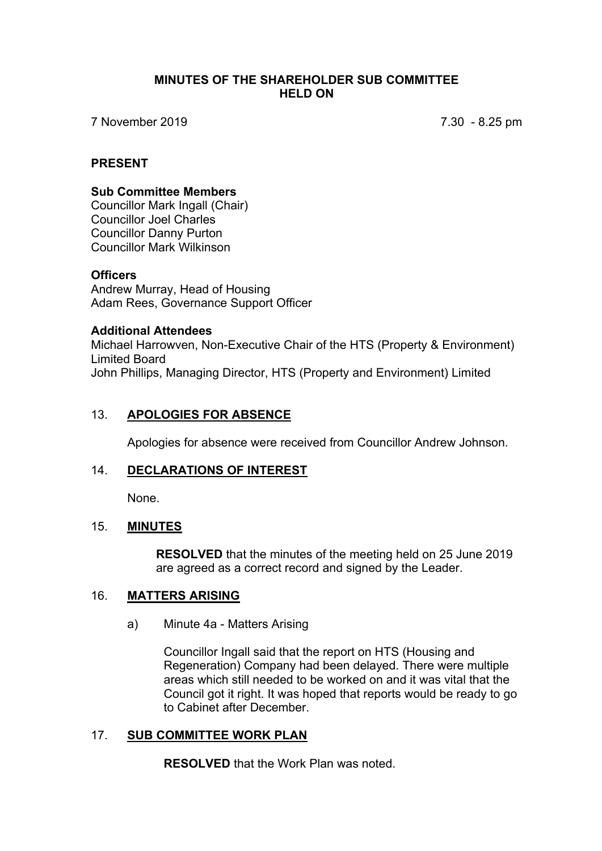### **MINUTES OF THE SHAREHOLDER SUB COMMITTEE HELD ON**

7 November 2019 7.30 - 8.25 pm

## **PRESENT**

## **Sub Committee Members**

Councillor Mark Ingall (Chair) Councillor Joel Charles Councillor Danny Purton Councillor Mark Wilkinson

### **Officers**

Andrew Murray, Head of Housing Adam Rees, Governance Support Officer

### **Additional Attendees**

Michael Harrowven, Non-Executive Chair of the HTS (Property & Environment) Limited Board John Phillips, Managing Director, HTS (Property and Environment) Limited

## 13. **APOLOGIES FOR ABSENCE**

Apologies for absence were received from Councillor Andrew Johnson.

# 14. **DECLARATIONS OF INTEREST**

None.

### 15. **MINUTES**

**RESOLVED** that the minutes of the meeting held on 25 June 2019 are agreed as a correct record and signed by the Leader.

### 16. **MATTERS ARISING**

a) Minute 4a - Matters Arising

Councillor Ingall said that the report on HTS (Housing and Regeneration) Company had been delayed. There were multiple areas which still needed to be worked on and it was vital that the Council got it right. It was hoped that reports would be ready to go to Cabinet after December.

## 17. **SUB COMMITTEE WORK PLAN**

**RESOLVED** that the Work Plan was noted.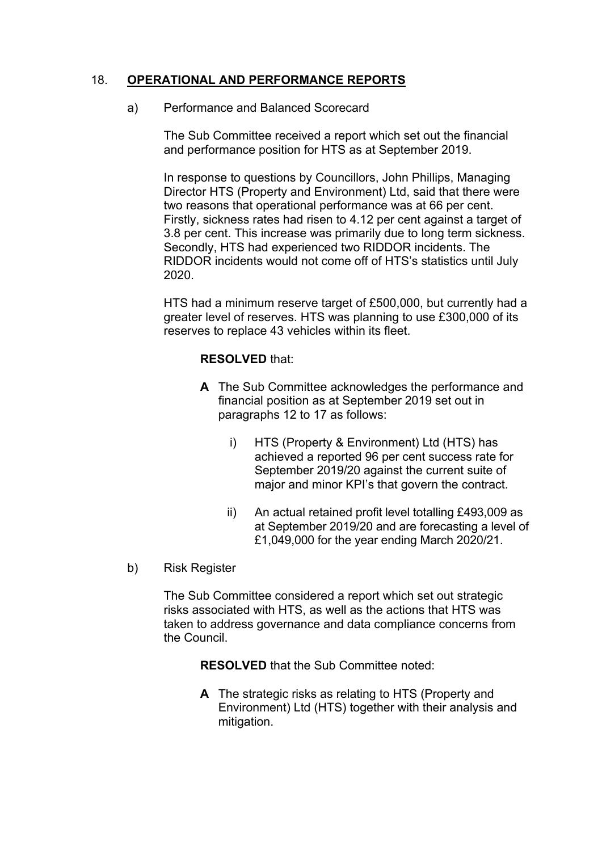# 18. **OPERATIONAL AND PERFORMANCE REPORTS**

a) Performance and Balanced Scorecard

The Sub Committee received a report which set out the financial and performance position for HTS as at September 2019.

In response to questions by Councillors, John Phillips, Managing Director HTS (Property and Environment) Ltd, said that there were two reasons that operational performance was at 66 per cent. Firstly, sickness rates had risen to 4.12 per cent against a target of 3.8 per cent. This increase was primarily due to long term sickness. Secondly, HTS had experienced two RIDDOR incidents. The RIDDOR incidents would not come off of HTS's statistics until July 2020.

HTS had a minimum reserve target of £500,000, but currently had a greater level of reserves. HTS was planning to use £300,000 of its reserves to replace 43 vehicles within its fleet.

# **RESOLVED** that:

- **A** The Sub Committee acknowledges the performance and financial position as at September 2019 set out in paragraphs 12 to 17 as follows:
	- i) HTS (Property & Environment) Ltd (HTS) has achieved a reported 96 per cent success rate for September 2019/20 against the current suite of major and minor KPI's that govern the contract.
	- ii) An actual retained profit level totalling £493,009 as at September 2019/20 and are forecasting a level of £1,049,000 for the year ending March 2020/21.
- b) Risk Register

The Sub Committee considered a report which set out strategic risks associated with HTS, as well as the actions that HTS was taken to address governance and data compliance concerns from the Council.

**RESOLVED** that the Sub Committee noted:

**A** The strategic risks as relating to HTS (Property and Environment) Ltd (HTS) together with their analysis and mitigation.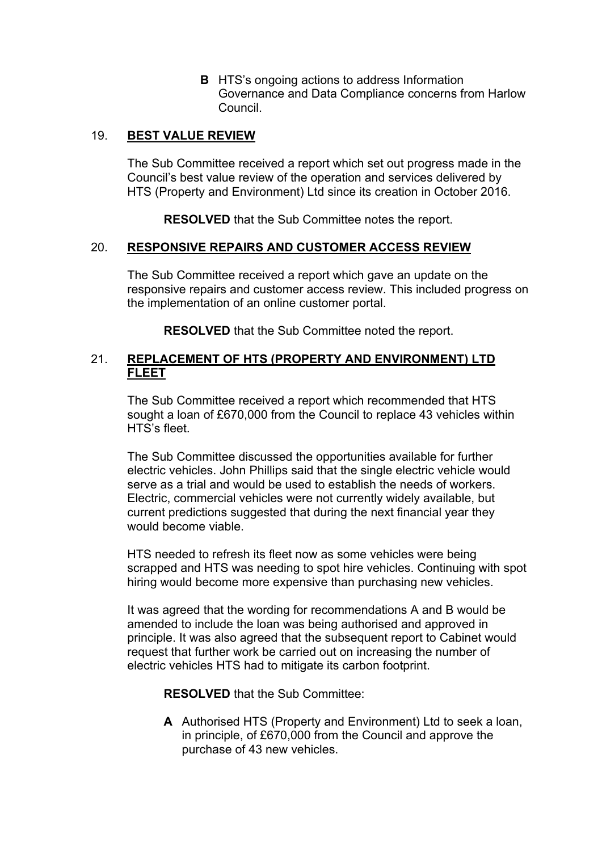**B** HTS's ongoing actions to address Information Governance and Data Compliance concerns from Harlow Council.

# 19. **BEST VALUE REVIEW**

The Sub Committee received a report which set out progress made in the Council's best value review of the operation and services delivered by HTS (Property and Environment) Ltd since its creation in October 2016.

**RESOLVED** that the Sub Committee notes the report.

## 20. **RESPONSIVE REPAIRS AND CUSTOMER ACCESS REVIEW**

The Sub Committee received a report which gave an update on the responsive repairs and customer access review. This included progress on the implementation of an online customer portal.

**RESOLVED** that the Sub Committee noted the report.

# 21. **REPLACEMENT OF HTS (PROPERTY AND ENVIRONMENT) LTD FLEET**

The Sub Committee received a report which recommended that HTS sought a loan of £670,000 from the Council to replace 43 vehicles within HTS's fleet.

The Sub Committee discussed the opportunities available for further electric vehicles. John Phillips said that the single electric vehicle would serve as a trial and would be used to establish the needs of workers. Electric, commercial vehicles were not currently widely available, but current predictions suggested that during the next financial year they would become viable.

HTS needed to refresh its fleet now as some vehicles were being scrapped and HTS was needing to spot hire vehicles. Continuing with spot hiring would become more expensive than purchasing new vehicles.

It was agreed that the wording for recommendations A and B would be amended to include the loan was being authorised and approved in principle. It was also agreed that the subsequent report to Cabinet would request that further work be carried out on increasing the number of electric vehicles HTS had to mitigate its carbon footprint.

**RESOLVED** that the Sub Committee:

**A** Authorised HTS (Property and Environment) Ltd to seek a loan, in principle, of £670,000 from the Council and approve the purchase of 43 new vehicles.